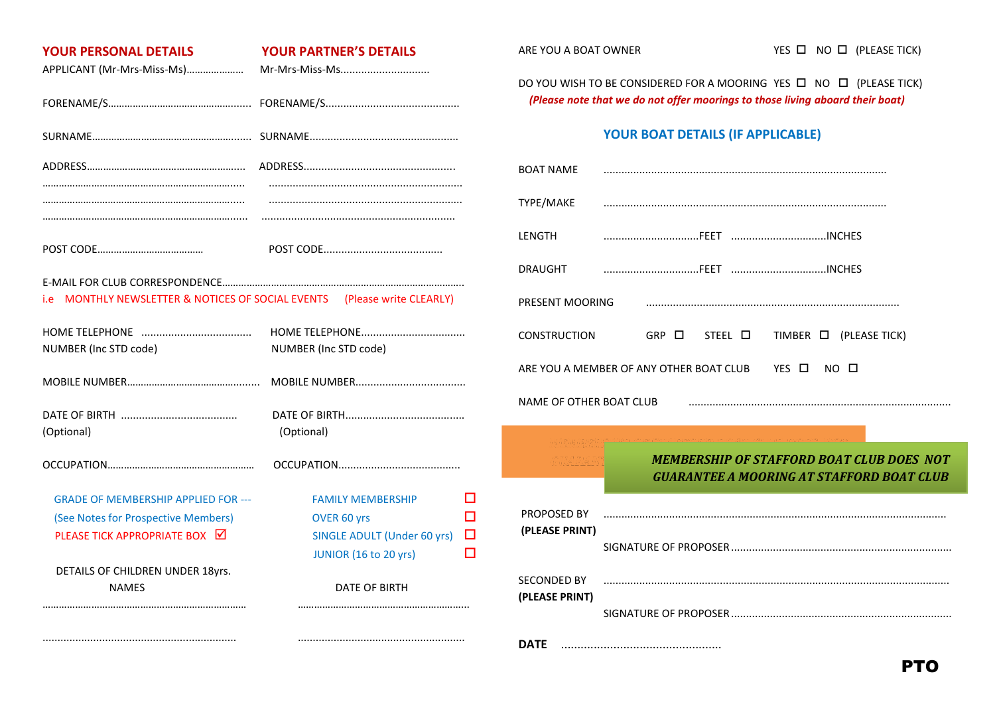| <b>YOUR PERSONAL DETAILS</b>                         | <b>YOUR PARTNER'S DETAILS</b>      |   | ARE YOU A                     |
|------------------------------------------------------|------------------------------------|---|-------------------------------|
| APPLICANT (Mr-Mrs-Miss-Ms)                           |                                    |   | DO YOU W                      |
|                                                      |                                    |   | (Please                       |
|                                                      |                                    |   |                               |
|                                                      |                                    |   | <b>BOAT NAN</b>               |
|                                                      |                                    |   | TYPE/MAK                      |
|                                                      |                                    |   | LENGTH                        |
|                                                      |                                    |   | <b>DRAUGHT</b>                |
| MONTHLY NEWSLETTER & NOTICES OF SOCIAL EVENTS<br>i.e | (Please write CLEARLY)             |   | <b>PRESENT N</b>              |
|                                                      |                                    |   | <b>CONSTRUG</b>               |
| NUMBER (Inc STD code)                                | NUMBER (Inc STD code)              |   | ARE YOU A                     |
|                                                      |                                    |   |                               |
| (Optional)                                           | (Optional)                         |   | <b>NAME OF</b>                |
|                                                      |                                    |   |                               |
| <b>GRADE OF MEMBERSHIP APPLIED FOR ---</b>           | <b>FAMILY MEMBERSHIP</b>           | П |                               |
| (See Notes for Prospective Members)                  | OVER 60 yrs                        | п | <b>PROPOSEI</b>               |
| PLEASE TICK APPROPRIATE BOX <b>■</b>                 | <b>SINGLE ADULT (Under 60 yrs)</b> | □ | (PLEASE P                     |
|                                                      | JUNIOR (16 to 20 yrs)              | п |                               |
| DETAILS OF CHILDREN UNDER 18yrs.<br><b>NAMES</b>     | <b>DATE OF BIRTH</b>               |   | <b>SECONDED</b><br>(PLEASE PI |
|                                                      |                                    |   | <b>DATE</b>                   |

VISH TO BE CONSIDERED FOR A MOORING YES  $\Box$  NO  $\Box$  (PLEASE TICK) *(Please note that we do not offer moorings to those living aboard their boat)*

## **YOUR BOAT DETAILS (IF APPLICABLE)**

| <b>BOAT NAME</b>                                                     |                                                                                                      |  |  |  |
|----------------------------------------------------------------------|------------------------------------------------------------------------------------------------------|--|--|--|
| TYPE/MAKE                                                            |                                                                                                      |  |  |  |
| <b>LENGTH</b>                                                        |                                                                                                      |  |  |  |
| <b>DRAUGHT</b>                                                       |                                                                                                      |  |  |  |
| PRESENT MOORING                                                      |                                                                                                      |  |  |  |
| <b>CONSTRUCTION</b>                                                  | $GRP$ $\Box$<br>STEEL $\square$ TIMBER $\square$ (PLEASE TICK)                                       |  |  |  |
| YES $\Box$<br>ARE YOU A MEMBER OF ANY OTHER BOAT CLUB<br>$NO$ $\Box$ |                                                                                                      |  |  |  |
| NAME OF OTHER BOAT CLUB                                              |                                                                                                      |  |  |  |
|                                                                      |                                                                                                      |  |  |  |
|                                                                      | <b>MEMBERSHIP OF STAFFORD BOAT CLUB DOES NOT</b><br><b>GUARANTEE A MOORING AT STAFFORD BOAT CLUB</b> |  |  |  |
| PROPOSED BY<br>(PLEASE PRINT)                                        |                                                                                                      |  |  |  |
|                                                                      |                                                                                                      |  |  |  |
| <b>SECONDED BY</b><br>(PLEASE PRINT)                                 |                                                                                                      |  |  |  |
|                                                                      |                                                                                                      |  |  |  |
| <b>DATE</b>                                                          |                                                                                                      |  |  |  |